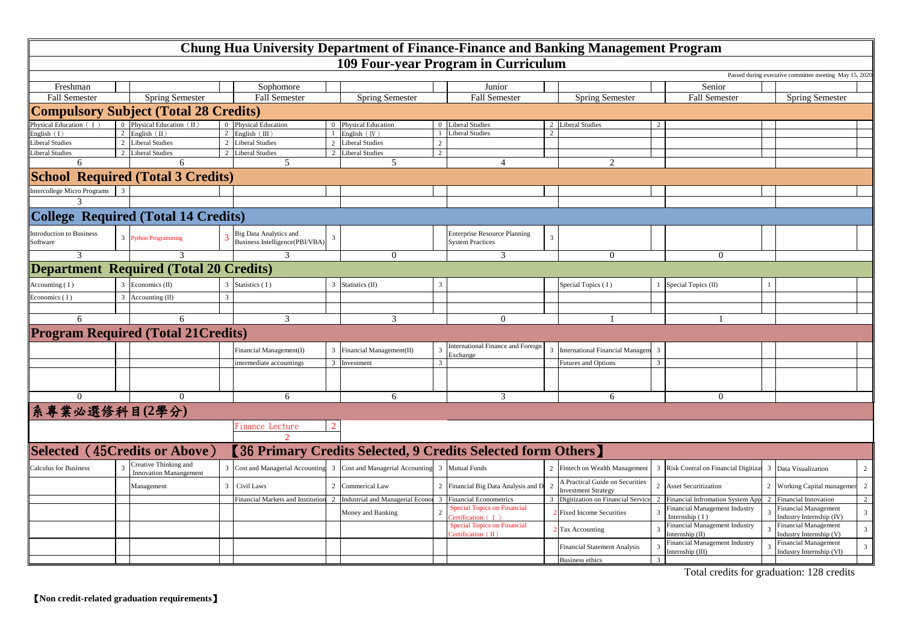|                                              |  |                                               |                |                                                                 |                |                                                             |               | Chung Hua University Department of Finance-Finance and Banking Management Program |                         |                                                               |                         |                                                   |  |                                                                        |
|----------------------------------------------|--|-----------------------------------------------|----------------|-----------------------------------------------------------------|----------------|-------------------------------------------------------------|---------------|-----------------------------------------------------------------------------------|-------------------------|---------------------------------------------------------------|-------------------------|---------------------------------------------------|--|------------------------------------------------------------------------|
|                                              |  |                                               |                |                                                                 |                |                                                             |               | 109 Four-year Program in Curriculum                                               |                         |                                                               |                         |                                                   |  |                                                                        |
|                                              |  |                                               |                |                                                                 |                |                                                             |               |                                                                                   |                         |                                                               |                         |                                                   |  | Passed during executive committee meeting May 15, 202                  |
| Freshman                                     |  |                                               |                | Sophomore                                                       |                |                                                             |               | Junior                                                                            |                         |                                                               |                         | Senior                                            |  |                                                                        |
| <b>Fall Semester</b>                         |  | <b>Spring Semester</b>                        |                | <b>Fall Semester</b>                                            |                | <b>Spring Semester</b>                                      |               | <b>Fall Semester</b>                                                              |                         | <b>Spring Semester</b>                                        |                         | <b>Fall Semester</b>                              |  | <b>Spring Semester</b>                                                 |
| <b>Compulsory Subject (Total 28 Credits)</b> |  |                                               |                |                                                                 |                |                                                             |               |                                                                                   |                         |                                                               |                         |                                                   |  |                                                                        |
| hysical Education (T                         |  | 0 Physical Education $(II)$                   |                | 0 Physical Education                                            |                | 0 Physical Education                                        |               | 0 Liberal Studies                                                                 |                         | 2 Liberal Studies                                             |                         |                                                   |  |                                                                        |
| nglish(I)                                    |  | 2 English                                     |                | English $(III)$                                                 |                | English (IV)                                                |               | <b>Liberal Studies</b>                                                            | 2                       |                                                               |                         |                                                   |  |                                                                        |
| iberal Studies                               |  | 2 Liberal Studies                             | $\overline{2}$ | <b>Liberal Studies</b>                                          | $2^{\circ}$    | <b>Liberal Studies</b>                                      | 2             |                                                                                   |                         |                                                               |                         |                                                   |  |                                                                        |
| iberal Studies                               |  | 2 Liberal Studies                             | $\mathcal{D}$  | <b>Liberal Studies</b>                                          | $\mathcal{D}$  | <b>Liberal Studies</b>                                      | 2             |                                                                                   |                         |                                                               |                         |                                                   |  |                                                                        |
| 6                                            |  | 6                                             |                |                                                                 |                | 5                                                           |               | $\overline{4}$                                                                    |                         | 2                                                             |                         |                                                   |  |                                                                        |
|                                              |  | <b>School Required (Total 3 Credits)</b>      |                |                                                                 |                |                                                             |               |                                                                                   |                         |                                                               |                         |                                                   |  |                                                                        |
| <b>Intercollege Micro Programs</b>           |  |                                               |                |                                                                 |                |                                                             |               |                                                                                   |                         |                                                               |                         |                                                   |  |                                                                        |
|                                              |  |                                               |                |                                                                 |                |                                                             |               |                                                                                   |                         |                                                               |                         |                                                   |  |                                                                        |
| <b>College Required (Total 14 Credits)</b>   |  |                                               |                |                                                                 |                |                                                             |               |                                                                                   |                         |                                                               |                         |                                                   |  |                                                                        |
| <b>Introduction to Business</b><br>Software  |  | 3 Python Programming                          |                | <b>Big Data Analytics and</b><br>Business Intelligence(PBI/VBA) | 3              |                                                             |               | <b>Enterprise Resource Planning</b><br><b>System Practices</b>                    | $\overline{3}$          |                                                               |                         |                                                   |  |                                                                        |
|                                              |  |                                               |                |                                                                 |                | $\Omega$                                                    |               |                                                                                   |                         | $\Omega$                                                      |                         | $\overline{0}$                                    |  |                                                                        |
|                                              |  | <b>Department Required (Total 20 Credits)</b> |                |                                                                 |                |                                                             |               |                                                                                   |                         |                                                               |                         |                                                   |  |                                                                        |
| Accounting $(1)$                             |  | 3 Economics (II)                              |                | Statistics (I)                                                  |                | Statistics (II)                                             | $\mathcal{R}$ |                                                                                   |                         | Special Topics (I)                                            |                         | Special Topics (II)                               |  |                                                                        |
| Economics (I)                                |  | $3$ Accounting (II)                           | $\mathcal{R}$  |                                                                 |                |                                                             |               |                                                                                   |                         |                                                               |                         |                                                   |  |                                                                        |
|                                              |  |                                               |                |                                                                 |                |                                                             |               |                                                                                   |                         |                                                               |                         |                                                   |  |                                                                        |
| 6                                            |  | 6                                             |                | 3                                                               |                | 3                                                           |               | $\overline{0}$                                                                    |                         |                                                               |                         |                                                   |  |                                                                        |
| <b>Program Required (Total 21 Credits)</b>   |  |                                               |                |                                                                 |                |                                                             |               |                                                                                   |                         |                                                               |                         |                                                   |  |                                                                        |
|                                              |  |                                               |                | Financial Management(I)                                         | $\overline{3}$ | Financial Management(II)                                    |               | International Finance and Foreign                                                 | $\overline{\mathbf{3}}$ | <b>International Financial Managen</b>                        | $\overline{\mathbf{3}}$ |                                                   |  |                                                                        |
|                                              |  |                                               |                |                                                                 |                |                                                             | $\mathbf{3}$  | Exchange                                                                          |                         |                                                               |                         |                                                   |  |                                                                        |
|                                              |  |                                               |                | intermediate accountings                                        |                | 3 Investment                                                |               |                                                                                   |                         | <b>Futures and Options</b>                                    |                         |                                                   |  |                                                                        |
|                                              |  |                                               |                |                                                                 |                |                                                             |               |                                                                                   |                         |                                                               |                         |                                                   |  |                                                                        |
|                                              |  |                                               |                | 6                                                               |                | 6                                                           |               | $\mathcal{R}$                                                                     |                         | 6                                                             |                         | $\Omega$                                          |  |                                                                        |
| 系專業必選修科目(2學分)                                |  |                                               |                |                                                                 |                |                                                             |               |                                                                                   |                         |                                                               |                         |                                                   |  |                                                                        |
|                                              |  |                                               |                | Finance Lecture                                                 |                |                                                             |               |                                                                                   |                         |                                                               |                         |                                                   |  |                                                                        |
|                                              |  |                                               |                |                                                                 |                |                                                             |               |                                                                                   |                         |                                                               |                         |                                                   |  |                                                                        |
| <b>Selected</b>                              |  | (45Credits or Above)                          |                |                                                                 |                |                                                             |               | <b>[36 Primary Credits Selected, 9 Credits Selected form Others]</b>              |                         |                                                               |                         |                                                   |  |                                                                        |
| <b>Calculus for Business</b>                 |  | Creative Thinking and                         |                | Cost and Managerial Accounting                                  | $\overline{3}$ | Cost and Managerial Accounting                              |               | 3 Mutual Funds                                                                    |                         | Fintech on Wealth Management                                  | $\overline{3}$          | Risk Contral on Financial Digitiza<br>3           |  | Data Visualization<br>2                                                |
|                                              |  | <b>Innovation Manangement</b><br>Management   | $\mathfrak{Z}$ | Civil Laws                                                      | $\overline{2}$ | Commerical Law                                              |               | Financial Big Data Analysis and D                                                 | $\overline{2}$          | A Practical Guide on Securities<br><b>Investment Strategy</b> | $\mathcal{D}$           | <b>Asset Securitization</b>                       |  | $\overline{2}$<br>2 Working Capital manageme                           |
|                                              |  |                                               |                | Financial Markets and Institution                               |                | 2 Industrial and Managerial Econor 3 Financial Econometrics |               |                                                                                   |                         | 3 Digitization on Financial Service                           |                         | Financial Infromation System Ap                   |  | $\overline{2}$<br>2 Financial Innovation                               |
|                                              |  |                                               |                |                                                                 |                | Money and Banking                                           |               | <b>Special Topics on Financial</b><br>ertification (I)                            |                         | <b>Fixed Income Securities</b>                                |                         | inancial Management Industry<br>Internship (I)    |  | inancial Management<br>3 <sup>7</sup><br>Industry Internship (IV)      |
|                                              |  |                                               |                |                                                                 |                |                                                             |               | <b>Special Topics on Financial</b><br>ertification $(II)$                         |                         | <b>Tax Accounting</b>                                         |                         | inancial Management Industry<br>Internship (II)   |  | <b>Financial Management</b><br>$\mathbf{3}$<br>Industry Internship (V) |
|                                              |  |                                               |                |                                                                 |                |                                                             |               |                                                                                   |                         | <b>Financial Statement Analysis</b>                           |                         | Financial Management Industry<br>Internship (III) |  | Financial Management<br>$\overline{3}$<br>Industry Internship (VI)     |
|                                              |  |                                               |                |                                                                 |                |                                                             |               |                                                                                   |                         | <b>Business ethics</b>                                        |                         |                                                   |  |                                                                        |

Total credits for graduation: 128 credits